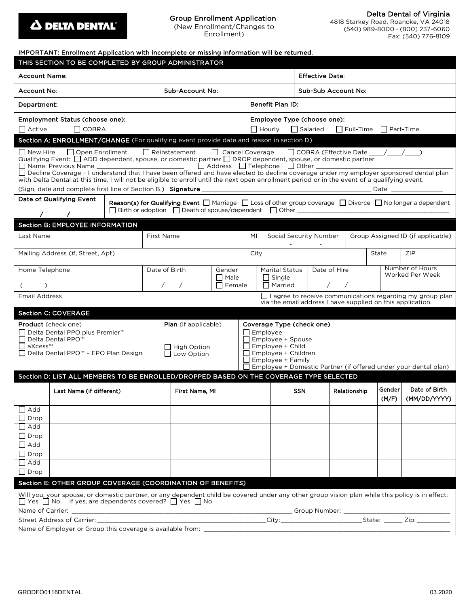

#### Group Enrollment Application (New Enrollment/Changes to Enrollment)

Delta Dental of Virginia 4818 Starkey Road, Roanoke, VA 24018

(540) 989-8000 · (800) 237-6060 Fax: (540) 776-8109

| IMPORTANT: Enrollment Application with incomplete or missing information will be returned.                                                                                                                                                                                                                                                                                                                                                                                                                                                                                                                                                          |                                                                                                                                                                                                                        |  |                |                  |                                                                                                                                                                                               |                                                             |            |              |       |                                    |                                                          |  |
|-----------------------------------------------------------------------------------------------------------------------------------------------------------------------------------------------------------------------------------------------------------------------------------------------------------------------------------------------------------------------------------------------------------------------------------------------------------------------------------------------------------------------------------------------------------------------------------------------------------------------------------------------------|------------------------------------------------------------------------------------------------------------------------------------------------------------------------------------------------------------------------|--|----------------|------------------|-----------------------------------------------------------------------------------------------------------------------------------------------------------------------------------------------|-------------------------------------------------------------|------------|--------------|-------|------------------------------------|----------------------------------------------------------|--|
| THIS SECTION TO BE COMPLETED BY GROUP ADMINISTRATOR                                                                                                                                                                                                                                                                                                                                                                                                                                                                                                                                                                                                 |                                                                                                                                                                                                                        |  |                |                  |                                                                                                                                                                                               |                                                             |            |              |       |                                    |                                                          |  |
| <b>Account Name:</b>                                                                                                                                                                                                                                                                                                                                                                                                                                                                                                                                                                                                                                |                                                                                                                                                                                                                        |  |                |                  |                                                                                                                                                                                               | <b>Effective Date:</b>                                      |            |              |       |                                    |                                                          |  |
| <b>Sub-Account No:</b><br>Account No:                                                                                                                                                                                                                                                                                                                                                                                                                                                                                                                                                                                                               |                                                                                                                                                                                                                        |  |                |                  |                                                                                                                                                                                               | Sub-Sub Account No:                                         |            |              |       |                                    |                                                          |  |
| Department:                                                                                                                                                                                                                                                                                                                                                                                                                                                                                                                                                                                                                                         |                                                                                                                                                                                                                        |  |                | Benefit Plan ID: |                                                                                                                                                                                               |                                                             |            |              |       |                                    |                                                          |  |
| Employment Status (choose one):                                                                                                                                                                                                                                                                                                                                                                                                                                                                                                                                                                                                                     |                                                                                                                                                                                                                        |  |                |                  | Employee Type (choose one):                                                                                                                                                                   |                                                             |            |              |       |                                    |                                                          |  |
| Active<br>$\Box$ COBRA                                                                                                                                                                                                                                                                                                                                                                                                                                                                                                                                                                                                                              |                                                                                                                                                                                                                        |  |                |                  | $\Box$ Hourly<br>$\Box$ Salaried<br>$\Box$ Full-Time $\Box$ Part-Time                                                                                                                         |                                                             |            |              |       |                                    |                                                          |  |
|                                                                                                                                                                                                                                                                                                                                                                                                                                                                                                                                                                                                                                                     | Section A: ENROLLMENT/CHANGE (For qualifying event provide date and reason in section D)                                                                                                                               |  |                |                  |                                                                                                                                                                                               |                                                             |            |              |       |                                    |                                                          |  |
| Reinstatement<br>□ Cancel Coverage<br>□ COBRA (Effective Date ___/__/___/<br>l I New Hire<br>    Open Enrollment<br>Qualifying Event: $\Box$ ADD dependent, spouse, or domestic partner $\Box$ DROP dependent, spouse, or domestic partner<br>$\Box$ Address $\Box$ Telephone $\Box$ Other $\Box$<br>Name: Previous Name ______________________________<br>□ Decline Coverage - I understand that I have been offered and have elected to decline coverage under my employer sponsored dental plan<br>with Delta Dental at this time. I will not be eligible to enroll until the next open enrollment period or in the event of a qualifying event. |                                                                                                                                                                                                                        |  |                |                  |                                                                                                                                                                                               |                                                             |            |              |       |                                    |                                                          |  |
| (Sign, date and complete first line of Section B.) Signature<br>Date                                                                                                                                                                                                                                                                                                                                                                                                                                                                                                                                                                                |                                                                                                                                                                                                                        |  |                |                  |                                                                                                                                                                                               |                                                             |            |              |       |                                    |                                                          |  |
| Date of Qualifying Event                                                                                                                                                                                                                                                                                                                                                                                                                                                                                                                                                                                                                            | <b>Reason(s) for Qualifying Event</b> $\Box$ Marriage $\Box$ Loss of other group coverage $\Box$ Divorce $\Box$ No longer a dependent<br>$\Box$ Birth or adoption $\Box$ Death of spouse/dependent $\Box$ Other $\Box$ |  |                |                  |                                                                                                                                                                                               |                                                             |            |              |       |                                    |                                                          |  |
| <b>Section B: EMPLOYEE INFORMATION</b>                                                                                                                                                                                                                                                                                                                                                                                                                                                                                                                                                                                                              |                                                                                                                                                                                                                        |  |                |                  |                                                                                                                                                                                               |                                                             |            |              |       |                                    |                                                          |  |
| Last Name                                                                                                                                                                                                                                                                                                                                                                                                                                                                                                                                                                                                                                           | <b>First Name</b>                                                                                                                                                                                                      |  |                | MI               |                                                                                                                                                                                               | Social Security Number<br>Group Assigned ID (if applicable) |            |              |       |                                    |                                                          |  |
| Mailing Address (#, Street, Apt)                                                                                                                                                                                                                                                                                                                                                                                                                                                                                                                                                                                                                    |                                                                                                                                                                                                                        |  |                | City             |                                                                                                                                                                                               |                                                             |            |              | State | <b>ZIP</b>                         |                                                          |  |
| Home Telephone                                                                                                                                                                                                                                                                                                                                                                                                                                                                                                                                                                                                                                      | Date of Birth<br>Gender                                                                                                                                                                                                |  |                |                  | Date of Hire<br><b>Marital Status</b>                                                                                                                                                         |                                                             |            |              |       | Number of Hours<br>Worked Per Week |                                                          |  |
|                                                                                                                                                                                                                                                                                                                                                                                                                                                                                                                                                                                                                                                     | $\Box$ Male<br>$\Box$ Female                                                                                                                                                                                           |  |                |                  | $\Box$ Single<br>$\Box$ Married                                                                                                                                                               |                                                             |            |              |       |                                    |                                                          |  |
| Email Address<br>$\Box$ I agree to receive communications regarding my group plan<br>via the email address I have supplied on this application.                                                                                                                                                                                                                                                                                                                                                                                                                                                                                                     |                                                                                                                                                                                                                        |  |                |                  |                                                                                                                                                                                               |                                                             |            |              |       |                                    |                                                          |  |
| <b>Section C: COVERAGE</b>                                                                                                                                                                                                                                                                                                                                                                                                                                                                                                                                                                                                                          |                                                                                                                                                                                                                        |  |                |                  |                                                                                                                                                                                               |                                                             |            |              |       |                                    |                                                          |  |
| <b>Product</b> (check one)<br>Delta Dental PPO plus Premier <sup>™</sup><br>Delta Dental PPO <sup>™</sup><br>aXcess™<br>Delta Dental PPO <sup>™</sup> - EPO Plan Design                                                                                                                                                                                                                                                                                                                                                                                                                                                                             | <b>Plan</b> (if applicable)<br>High Option<br>$\Box$ Low Option                                                                                                                                                        |  |                |                  | Coverage Type (check one)<br>Employee<br>Employee + Spouse<br>Employee + Child<br>Employee + Children<br>Employee + Family<br>Employee + Domestic Partner (if offered under your dental plan) |                                                             |            |              |       |                                    |                                                          |  |
| Section D: LIST ALL MEMBERS TO BE ENROLLED/DROPPED BASED ON THE COVERAGE TYPE SELECTED                                                                                                                                                                                                                                                                                                                                                                                                                                                                                                                                                              |                                                                                                                                                                                                                        |  |                |                  |                                                                                                                                                                                               |                                                             |            |              |       |                                    |                                                          |  |
| Last Name (if different)                                                                                                                                                                                                                                                                                                                                                                                                                                                                                                                                                                                                                            |                                                                                                                                                                                                                        |  | First Name, MI |                  |                                                                                                                                                                                               |                                                             | <b>SSN</b> | Relationship |       | Gender<br>(M/F)                    | Date of Birth<br>(MM/DD/YYYY)                            |  |
| $\Box$ Add<br>$\Box$ Drop                                                                                                                                                                                                                                                                                                                                                                                                                                                                                                                                                                                                                           |                                                                                                                                                                                                                        |  |                |                  |                                                                                                                                                                                               |                                                             |            |              |       |                                    |                                                          |  |
| $\Box$ Add                                                                                                                                                                                                                                                                                                                                                                                                                                                                                                                                                                                                                                          |                                                                                                                                                                                                                        |  |                |                  |                                                                                                                                                                                               |                                                             |            |              |       |                                    |                                                          |  |
| Drop                                                                                                                                                                                                                                                                                                                                                                                                                                                                                                                                                                                                                                                |                                                                                                                                                                                                                        |  |                |                  |                                                                                                                                                                                               |                                                             |            |              |       |                                    |                                                          |  |
| $\Box$ Add<br>$\Box$ Drop                                                                                                                                                                                                                                                                                                                                                                                                                                                                                                                                                                                                                           |                                                                                                                                                                                                                        |  |                |                  |                                                                                                                                                                                               |                                                             |            |              |       |                                    |                                                          |  |
| $\Box$ Add                                                                                                                                                                                                                                                                                                                                                                                                                                                                                                                                                                                                                                          |                                                                                                                                                                                                                        |  |                |                  |                                                                                                                                                                                               |                                                             |            |              |       |                                    |                                                          |  |
| $\Box$ Drop                                                                                                                                                                                                                                                                                                                                                                                                                                                                                                                                                                                                                                         |                                                                                                                                                                                                                        |  |                |                  |                                                                                                                                                                                               |                                                             |            |              |       |                                    |                                                          |  |
| Section E: OTHER GROUP COVERAGE (COORDINATION OF BENEFITS)<br>Will you, your spouse, or domestic partner, or any dependent child be covered under any other group vision plan while this policy is in effect:<br>$\Box$ Yes $\Box$ No If yes, are dependents covered? $\Box$ Yes $\Box$ No                                                                                                                                                                                                                                                                                                                                                          |                                                                                                                                                                                                                        |  |                |                  |                                                                                                                                                                                               |                                                             |            |              |       |                                    |                                                          |  |
| Name of Carrier:<br>Street Address of Carrier:                                                                                                                                                                                                                                                                                                                                                                                                                                                                                                                                                                                                      |                                                                                                                                                                                                                        |  |                |                  |                                                                                                                                                                                               |                                                             |            |              |       |                                    | ______ Group Number: ___________________________________ |  |
| Name of Employer or Group this coverage is available from:                                                                                                                                                                                                                                                                                                                                                                                                                                                                                                                                                                                          |                                                                                                                                                                                                                        |  |                |                  |                                                                                                                                                                                               |                                                             |            |              |       |                                    |                                                          |  |